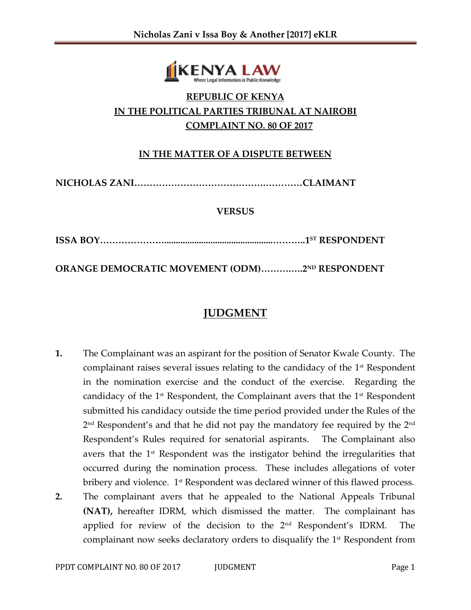

# **REPUBLIC OF KENYA IN THE POLITICAL PARTIES TRIBUNAL AT NAIROBI COMPLAINT NO. 80 OF 2017**

### **IN THE MATTER OF A DISPUTE BETWEEN**

**NICHOLAS ZANI…………………………………….…………CLAIMANT** 

#### **VERSUS**

**ISSA BOY…………………...............................................………..1ST RESPONDENT**

**ORANGE DEMOCRATIC MOVEMENT (ODM)……….….2ND RESPONDENT**

# **JUDGMENT**

**1.** The Complainant was an aspirant for the position of Senator Kwale County. The complainant raises several issues relating to the candidacy of the 1<sup>st</sup> Respondent in the nomination exercise and the conduct of the exercise. Regarding the candidacy of the  $1<sup>st</sup>$  Respondent, the Complainant avers that the  $1<sup>st</sup>$  Respondent submitted his candidacy outside the time period provided under the Rules of the  $2^{\rm nd}$  Respondent's and that he did not pay the mandatory fee required by the  $2^{\rm nd}$ Respondent's Rules required for senatorial aspirants. The Complainant also avers that the 1<sup>st</sup> Respondent was the instigator behind the irregularities that occurred during the nomination process. These includes allegations of voter bribery and violence. 1<sup>st</sup> Respondent was declared winner of this flawed process. **2.** The complainant avers that he appealed to the National Appeals Tribunal **(NAT),** hereafter IDRM, which dismissed the matter. The complainant has applied for review of the decision to the  $2<sup>nd</sup>$  Respondent's IDRM. The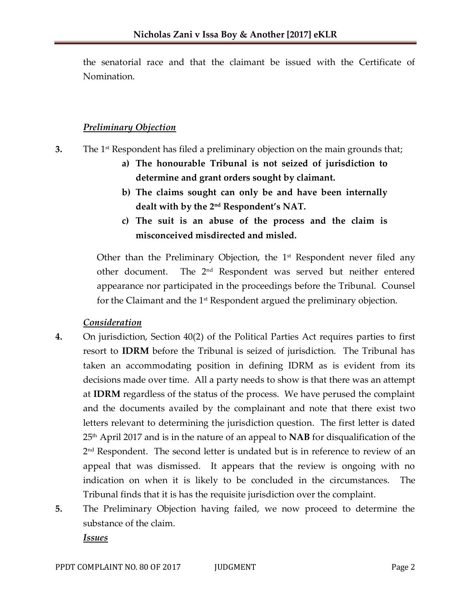the senatorial race and that the claimant be issued with the Certificate of Nomination.

#### *Preliminary Objection*

- **3.** The 1<sup>st</sup> Respondent has filed a preliminary objection on the main grounds that;
	- **a) The honourable Tribunal is not seized of jurisdiction to determine and grant orders sought by claimant.**
	- **b) The claims sought can only be and have been internally dealt with by the 2nd Respondent's NAT.**
	- **c) The suit is an abuse of the process and the claim is misconceived misdirected and misled.**

Other than the Preliminary Objection, the  $1<sup>st</sup>$  Respondent never filed any other document. The 2nd Respondent was served but neither entered appearance nor participated in the proceedings before the Tribunal. Counsel for the Claimant and the 1<sup>st</sup> Respondent argued the preliminary objection.

#### *Consideration*

- **4.** On jurisdiction, Section 40(2) of the Political Parties Act requires parties to first resort to **IDRM** before the Tribunal is seized of jurisdiction. The Tribunal has taken an accommodating position in defining IDRM as is evident from its decisions made over time. All a party needs to show is that there was an attempt at **IDRM** regardless of the status of the process. We have perused the complaint and the documents availed by the complainant and note that there exist two letters relevant to determining the jurisdiction question. The first letter is dated 25th April 2017 and is in the nature of an appeal to **NAB** for disqualification of the 2<sup>nd</sup> Respondent. The second letter is undated but is in reference to review of an appeal that was dismissed. It appears that the review is ongoing with no indication on when it is likely to be concluded in the circumstances. The Tribunal finds that it is has the requisite jurisdiction over the complaint.
- **5.** The Preliminary Objection having failed, we now proceed to determine the substance of the claim.

*Issues*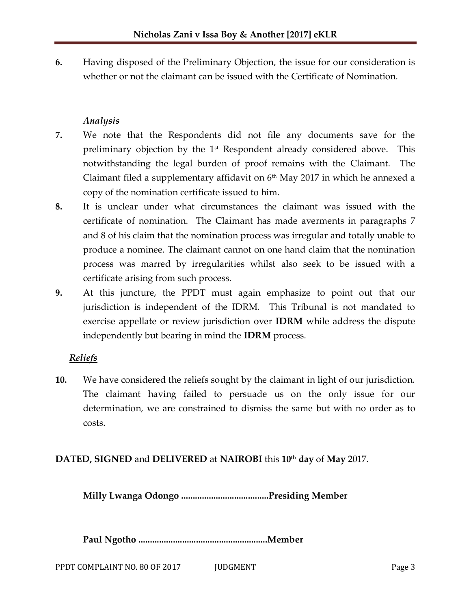**6.** Having disposed of the Preliminary Objection, the issue for our consideration is whether or not the claimant can be issued with the Certificate of Nomination.

#### *Analysis*

- **7.** We note that the Respondents did not file any documents save for the preliminary objection by the 1<sup>st</sup> Respondent already considered above. This notwithstanding the legal burden of proof remains with the Claimant. The Claimant filed a supplementary affidavit on  $6<sup>th</sup>$  May 2017 in which he annexed a copy of the nomination certificate issued to him.
- **8.** It is unclear under what circumstances the claimant was issued with the certificate of nomination. The Claimant has made averments in paragraphs 7 and 8 of his claim that the nomination process was irregular and totally unable to produce a nominee. The claimant cannot on one hand claim that the nomination process was marred by irregularities whilst also seek to be issued with a certificate arising from such process.
- **9.** At this juncture, the PPDT must again emphasize to point out that our jurisdiction is independent of the IDRM. This Tribunal is not mandated to exercise appellate or review jurisdiction over **IDRM** while address the dispute independently but bearing in mind the **IDRM** process.

# *Reliefs*

**10.** We have considered the reliefs sought by the claimant in light of our jurisdiction. The claimant having failed to persuade us on the only issue for our determination, we are constrained to dismiss the same but with no order as to costs.

# **DATED, SIGNED** and **DELIVERED** at **NAIROBI** this **10th day** of **May** 2017.

**Milly Lwanga Odongo ......................................Presiding Member**

**Paul Ngotho ........................................................Member**

PPDT COMPLAINT NO. 80 OF 2017 JUDGMENT JURISLE PAGE 3